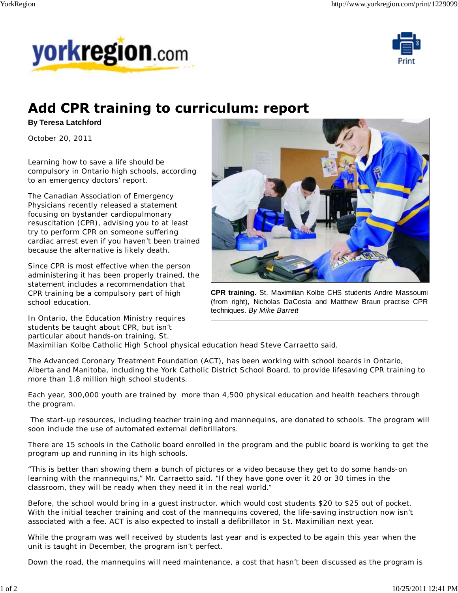



## **Add CPR training to curriculum: report**

## **By Teresa Latchford**

October 20, 2011

Learning how to save a life should be compulsory in Ontario high schools, according to an emergency doctors' report.

The Canadian Association of Emergency Physicians recently released a statement focusing on bystander cardiopulmonary resuscitation (CPR), advising you to at least try to perform CPR on someone suffering cardiac arrest even if you haven't been trained because the alternative is likely death.

Since CPR is most effective when the person administering it has been properly trained, the statement includes a recommendation that CPR training be a compulsory part of high school education.

In Ontario, the Education Ministry requires students be taught about CPR, but isn't particular about hands-on training, St.



**CPR training.** St. Maximilian Kolbe CHS students Andre Massoumi (from right), Nicholas DaCosta and Matthew Braun practise CPR techniques. *By Mike Barrett*

Maximilian Kolbe Catholic High School physical education head Steve Carraetto said.

The Advanced Coronary Treatment Foundation (ACT), has been working with school boards in Ontario, Alberta and Manitoba, including the York Catholic District School Board, to provide lifesaving CPR training to more than 1.8 million high school students.

Each year, 300,000 youth are trained by more than 4,500 physical education and health teachers through the program.

 The start-up resources, including teacher training and mannequins, are donated to schools. The program will soon include the use of automated external defibrillators.

There are 15 schools in the Catholic board enrolled in the program and the public board is working to get the program up and running in its high schools.

"This is better than showing them a bunch of pictures or a video because they get to do some hands-on learning with the mannequins," Mr. Carraetto said. "If they have gone over it 20 or 30 times in the classroom, they will be ready when they need it in the real world."

Before, the school would bring in a guest instructor, which would cost students \$20 to \$25 out of pocket. With the initial teacher training and cost of the mannequins covered, the life-saving instruction now isn't associated with a fee. ACT is also expected to install a defibrillator in St. Maximilian next year.

While the program was well received by students last year and is expected to be again this year when the unit is taught in December, the program isn't perfect.

Down the road, the mannequins will need maintenance, a cost that hasn't been discussed as the program is